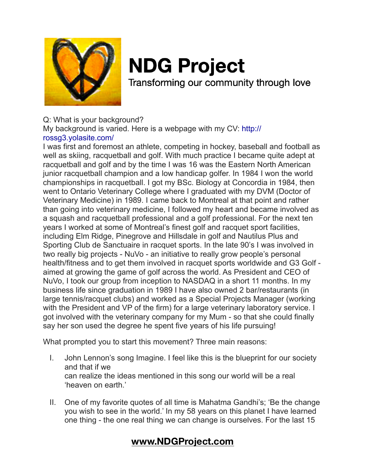

# **NDG Project**

Transforming our community through love

## Q: What is your background?

My background is varied. Here is a webpage with my CV: http://

## rossg3.yolasite.com/

I was first and foremost an athlete, competing in hockey, baseball and football as well as skiing, racquetball and golf. With much practice I became quite adept at racquetball and golf and by the time I was 16 was the Eastern North American junior racquetball champion and a low handicap golfer. In 1984 I won the world championships in racquetball. I got my BSc. Biology at Concordia in 1984, then went to Ontario Veterinary College where I graduated with my DVM (Doctor of Veterinary Medicine) in 1989. I came back to Montreal at that point and rather than going into veterinary medicine, I followed my heart and became involved as a squash and racquetball professional and a golf professional. For the next ten years I worked at some of Montreal's finest golf and racquet sport facilities, including Elm Ridge, Pinegrove and Hillsdale in golf and Nautilus Plus and Sporting Club de Sanctuaire in racquet sports. In the late 90's I was involved in two really big projects - NuVo - an initiative to really grow people's personal health/fitness and to get them involved in racquet sports worldwide and G3 Golf aimed at growing the game of golf across the world. As President and CEO of NuVo, I took our group from inception to NASDAQ in a short 11 months. In my business life since graduation in 1989 I have also owned 2 bar/restaurants (in large tennis/racquet clubs) and worked as a Special Projects Manager (working with the President and VP of the firm) for a large veterinary laboratory service. I got involved with the veterinary company for my Mum - so that she could finally say her son used the degree he spent five years of his life pursuing!

What prompted you to start this movement? Three main reasons:

- I. John Lennon's song Imagine. I feel like this is the blueprint for our society and that if we can realize the ideas mentioned in this song our world will be a real 'heaven on earth.'
- II. One of my favorite quotes of all time is Mahatma Gandhi's; 'Be the change you wish to see in the world.' In my 58 years on this planet I have learned one thing - the one real thing we can change is ourselves. For the last 15

# **[www.NDGProject.com](http://www.NDGProject.com)**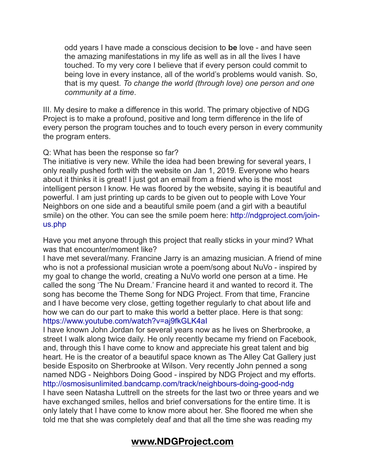odd years I have made a conscious decision to **be** love - and have seen the amazing manifestations in my life as well as in all the lives I have touched. To my very core I believe that if every person could commit to being love in every instance, all of the world's problems would vanish. So, that is my quest. *To change the world (through love) one person and one community at a time*.

III. My desire to make a difference in this world. The primary objective of NDG Project is to make a profound, positive and long term difference in the life of every person the program touches and to touch every person in every community the program enters.

## Q: What has been the response so far?

The initiative is very new. While the idea had been brewing for several years, I only really pushed forth with the website on Jan 1, 2019. Everyone who hears about it thinks it is great! I just got an email from a friend who is the most intelligent person I know. He was floored by the website, saying it is beautiful and powerful. I am just printing up cards to be given out to people with Love Your Neighbors on one side and a beautiful smile poem (and a girl with a beautiful smile) on the other. You can see the smile poem here: http://ndgproject.com/joinus.php

Have you met anyone through this project that really sticks in your mind? What was that encounter/moment like?

I have met several/many. Francine Jarry is an amazing musician. A friend of mine who is not a professional musician wrote a poem/song about NuVo - inspired by my goal to change the world, creating a NuVo world one person at a time. He called the song 'The Nu Dream.' Francine heard it and wanted to record it. The song has become the Theme Song for NDG Project. From that time, Francine and I have become very close, getting together regularly to chat about life and how we can do our part to make this world a better place. Here is that song: https://www.youtube.com/watch?v=aj9fkGLK4aI

I have known John Jordan for several years now as he lives on Sherbrooke, a street I walk along twice daily. He only recently became my friend on Facebook, and, through this I have come to know and appreciate his great talent and big heart. He is the creator of a beautiful space known as The Alley Cat Gallery just beside Esposito on Sherbrooke at Wilson. Very recently John penned a song named NDG - Neighbors Doing Good - inspired by NDG Project and my efforts. http://osmosisunlimited.bandcamp.com/track/neighbours-doing-good-ndg I have seen Natasha Luttrell on the streets for the last two or three years and we have exchanged smiles, hellos and brief conversations for the entire time. It is only lately that I have come to know more about her. She floored me when she told me that she was completely deaf and that all the time she was reading my

## **[www.NDGProject.com](http://www.NDGProject.com)**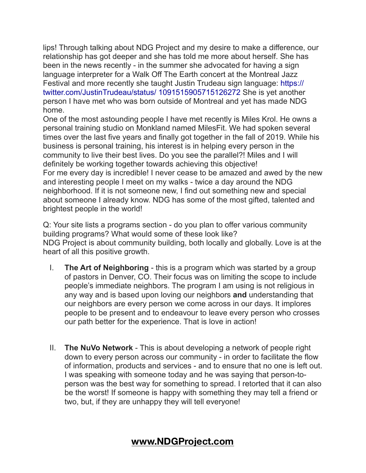lips! Through talking about NDG Project and my desire to make a difference, our relationship has got deeper and she has told me more about herself. She has been in the news recently - in the summer she advocated for having a sign language interpreter for a Walk Off The Earth concert at the Montreal Jazz Festival and more recently she taught Justin Trudeau sign language: https:// twitter.com/JustinTrudeau/status/ 1091515905715126272 She is yet another person I have met who was born outside of Montreal and yet has made NDG home.

One of the most astounding people I have met recently is Miles Krol. He owns a personal training studio on Monkland named MilesFit. We had spoken several times over the last five years and finally got together in the fall of 2019. While his business is personal training, his interest is in helping every person in the community to live their best lives. Do you see the parallel?! Miles and I will definitely be working together towards achieving this objective! For me every day is incredible! I never cease to be amazed and awed by the new and interesting people I meet on my walks - twice a day around the NDG neighborhood. If it is not someone new, I find out something new and special about someone I already know. NDG has some of the most gifted, talented and brightest people in the world!

Q: Your site lists a programs section - do you plan to offer various community building programs? What would some of these look like? NDG Project is about community building, both locally and globally. Love is at the heart of all this positive growth.

- I. **The Art of Neighboring** this is a program which was started by a group of pastors in Denver, CO. Their focus was on limiting the scope to include people's immediate neighbors. The program I am using is not religious in any way and is based upon loving our neighbors **and** understanding that our neighbors are every person we come across in our days. It implores people to be present and to endeavour to leave every person who crosses our path better for the experience. That is love in action!
- II. **The NuVo Network** This is about developing a network of people right down to every person across our community - in order to facilitate the flow of information, products and services - and to ensure that no one is left out. I was speaking with someone today and he was saying that person-toperson was the best way for something to spread. I retorted that it can also be the worst! If someone is happy with something they may tell a friend or two, but, if they are unhappy they will tell everyone!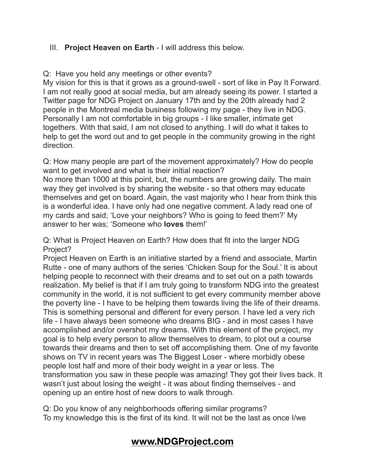## III. **Project Heaven on Earth** - I will address this below.

Q: Have you held any meetings or other events?

My vision for this is that it grows as a ground-swell - sort of like in Pay It Forward. I am not really good at social media, but am already seeing its power. I started a Twitter page for NDG Project on January 17th and by the 20th already had 2 people in the Montreal media business following my page - they live in NDG. Personally I am not comfortable in big groups - I like smaller, intimate get togethers. With that said, I am not closed to anything. I will do what it takes to help to get the word out and to get people in the community growing in the right direction.

Q: How many people are part of the movement approximately? How do people want to get involved and what is their initial reaction?

No more than 1000 at this point, but, the numbers are growing daily. The main way they get involved is by sharing the website - so that others may educate themselves and get on board. Again, the vast majority who I hear from think this is a wonderful idea. I have only had one negative comment. A lady read one of my cards and said; 'Love your neighbors? Who is going to feed them?' My answer to her was; 'Someone who **loves** them!'

Q: What is Project Heaven on Earth? How does that fit into the larger NDG Project?

Project Heaven on Earth is an initiative started by a friend and associate, Martin Rutte - one of many authors of the series 'Chicken Soup for the Soul.' It is about helping people to reconnect with their dreams and to set out on a path towards realization. My belief is that if I am truly going to transform NDG into the greatest community in the world, it is not sufficient to get every community member above the poverty line - I have to be helping them towards living the life of their dreams. This is something personal and different for every person. I have led a very rich life - I have always been someone who dreams BIG - and in most cases I have accomplished and/or overshot my dreams. With this element of the project, my goal is to help every person to allow themselves to dream, to plot out a course towards their dreams and then to set off accomplishing them. One of my favorite shows on TV in recent years was The Biggest Loser - where morbidly obese people lost half and more of their body weight in a year or less. The transformation you saw in these people was amazing! They got their lives back. It wasn't just about losing the weight - it was about finding themselves - and opening up an entire host of new doors to walk through.

Q: Do you know of any neighborhoods offering similar programs? To my knowledge this is the first of its kind. It will not be the last as once I/we

## **[www.NDGProject.com](http://www.NDGProject.com)**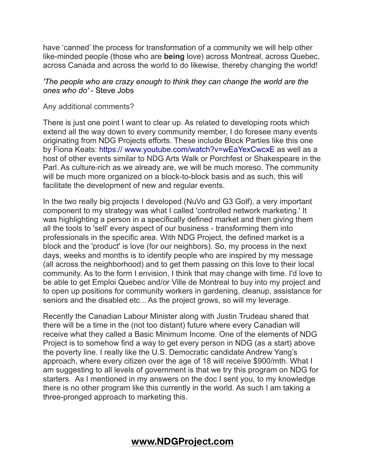have 'canned' the process for transformation of a community we will help other like-minded people (those who are **being** love) across Montreal, across Quebec, across Canada and across the world to do likewise, thereby changing the world!

## *'The people who are crazy enough to think they can change the world are the ones who do'* - Steve Jobs

#### Any additional comments?

There is just one point I want to clear up. As related to developing roots which extend all the way down to every community member, I do foresee many events originating from NDG Projects efforts. These include Block Parties like this one by Fiona Keats: https:// www.youtube.com/watch?v=wEaYexCwcxE as well as a host of other events similar to NDG Arts Walk or Porchfest or Shakespeare in the Parl. As culture-rich as we already are, we will be much moreso. The community will be much more organized on a block-to-block basis and as such, this will facilitate the development of new and regular events.

In the two really big projects I developed (NuVo and G3 Golf), a very important component to my strategy was what I called 'controlled network marketing.' It was highlighting a person in a specifically defined market and then giving them all the tools to 'sell' every aspect of our business - transforming them into professionals in the specific area. With NDG Project, the defined market is a block and the 'product' is love (for our neighbors). So, my process in the next days, weeks and months is to identify people who are inspired by my message (all across the neighborhood) and to get them passing on this love to their local community. As to the form I envision, I think that may change with time. I'd love to be able to get Emploi Quebec and/or Ville de Montreal to buy into my project and to open up positions for community workers in gardening, cleanup, assistance for seniors and the disabled etc... As the project grows, so will my leverage.

Recently the Canadian Labour Minister along with Justin Trudeau shared that there will be a time in the (not too distant) future where every Canadian will receive what they called a Basic Minimum Income. One of the elements of NDG Project is to somehow find a way to get every person in NDG (as a start) above the poverty line. I really like the U.S. Democratic candidate Andrew Yang's approach, where every citizen over the age of 18 will receive \$900/mth. What I am suggesting to all levels of government is that we try this program on NDG for starters. As I mentioned in my answers on the doc I sent you, to my knowledge there is no other program like this currently in the world. As such I am taking a three-pronged approach to marketing this.